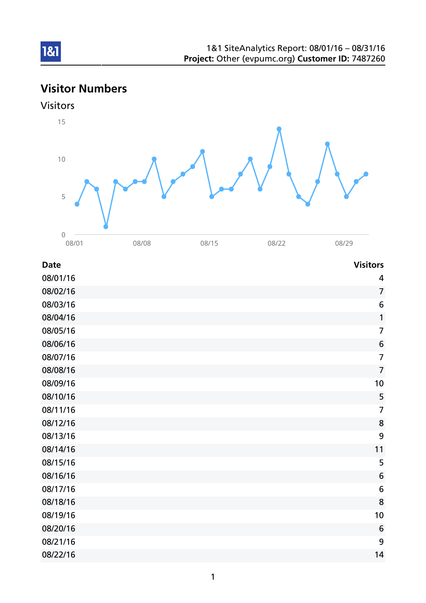# Visitor Numbers



1&1



| <b>Date</b> | <b>Visitors</b>  |
|-------------|------------------|
| 08/01/16    | 4                |
| 08/02/16    | $\overline{7}$   |
| 08/03/16    | 6                |
| 08/04/16    | $\mathbf{1}$     |
| 08/05/16    | $\overline{7}$   |
| 08/06/16    | $\boldsymbol{6}$ |
| 08/07/16    | $\overline{7}$   |
| 08/08/16    | $\overline{7}$   |
| 08/09/16    | 10               |
| 08/10/16    | 5                |
| 08/11/16    | $\overline{7}$   |
| 08/12/16    | 8                |
| 08/13/16    | 9                |
| 08/14/16    | 11               |
| 08/15/16    | 5                |
| 08/16/16    | 6                |
| 08/17/16    | 6                |
| 08/18/16    | 8                |
| 08/19/16    | 10               |
| 08/20/16    | 6                |
| 08/21/16    | 9                |
| 08/22/16    | 14               |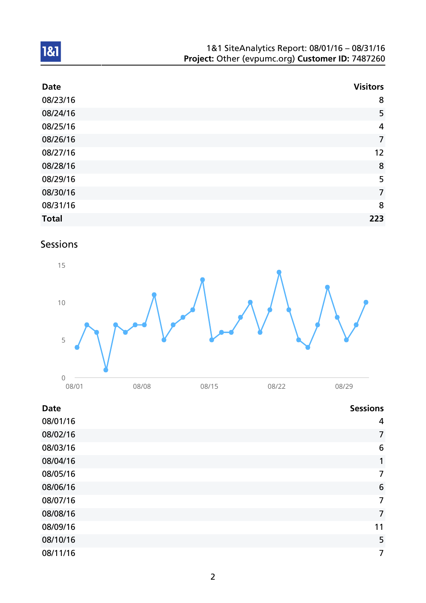| 1&1 SiteAnalytics Report: 08/01/16 - 08/31/16    |  |
|--------------------------------------------------|--|
| Project: Other (evpumc.org) Customer ID: 7487260 |  |

| <b>Date</b>  | <b>Visitors</b> |
|--------------|-----------------|
| 08/23/16     | 8               |
| 08/24/16     | 5               |
| 08/25/16     | 4               |
| 08/26/16     | $\overline{7}$  |
| 08/27/16     | 12              |
| 08/28/16     | 8               |
| 08/29/16     | 5               |
| 08/30/16     | $\overline{7}$  |
| 08/31/16     | 8               |
| <b>Total</b> | 223             |

## Sessions

1&1



## Date Sessions and the Sessions of the Sessions of the Sessions of the Sessions of the Sessions of the Sessions

| 08/01/16 | 4              |
|----------|----------------|
| 08/02/16 | $\overline{7}$ |
| 08/03/16 | 6              |
| 08/04/16 | 1              |
| 08/05/16 | 7              |
| 08/06/16 | 6              |
| 08/07/16 | $\overline{7}$ |
| 08/08/16 | 7              |
| 08/09/16 | 11             |
| 08/10/16 | 5              |
| 08/11/16 | 7              |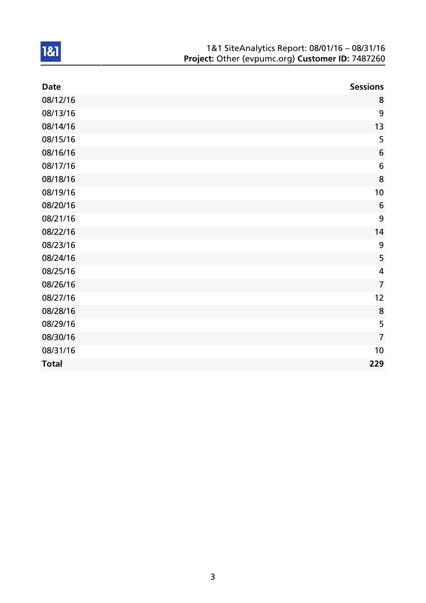| 1&1 SiteAnalytics Report: 08/01/16 - 08/31/16    |
|--------------------------------------------------|
| Project: Other (evpumc.org) Customer ID: 7487260 |

| <b>Date</b>  | <b>Sessions</b>         |
|--------------|-------------------------|
| 08/12/16     | 8                       |
| 08/13/16     | 9                       |
| 08/14/16     | 13                      |
| 08/15/16     | 5                       |
| 08/16/16     | 6                       |
| 08/17/16     | 6                       |
| 08/18/16     | 8                       |
| 08/19/16     | 10                      |
| 08/20/16     | 6                       |
| 08/21/16     | 9                       |
| 08/22/16     | 14                      |
| 08/23/16     | 9                       |
| 08/24/16     | 5                       |
| 08/25/16     | $\overline{\mathbf{4}}$ |
| 08/26/16     | $\overline{7}$          |
| 08/27/16     | 12                      |
| 08/28/16     | 8                       |
| 08/29/16     | 5                       |
| 08/30/16     | $\overline{7}$          |
| 08/31/16     | 10                      |
| <b>Total</b> | 229                     |

1&1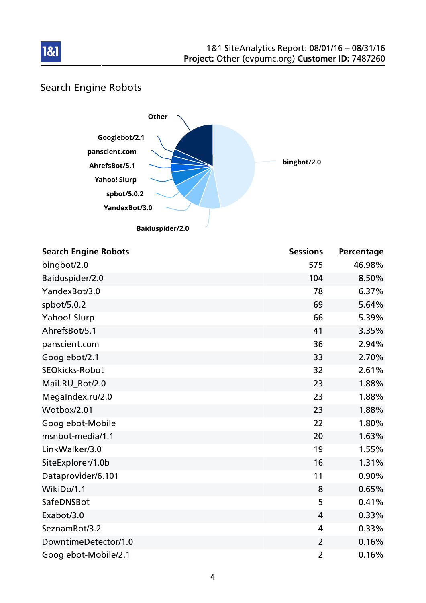

## Search Engine Robots

181



| <b>Search Engine Robots</b> | <b>Sessions</b> | Percentage |
|-----------------------------|-----------------|------------|
| bingbot/2.0                 | 575             | 46.98%     |
| Baiduspider/2.0             | 104             | 8.50%      |
| YandexBot/3.0               | 78              | 6.37%      |
| spbot/5.0.2                 | 69              | 5.64%      |
| Yahoo! Slurp                | 66              | 5.39%      |
| AhrefsBot/5.1               | 41              | 3.35%      |
| panscient.com               | 36              | 2.94%      |
| Googlebot/2.1               | 33              | 2.70%      |
| <b>SEOkicks-Robot</b>       | 32              | 2.61%      |
| Mail.RU_Bot/2.0             | 23              | 1.88%      |
| MegaIndex.ru/2.0            | 23              | 1.88%      |
| Wotbox/2.01                 | 23              | 1.88%      |
| Googlebot-Mobile            | 22              | 1.80%      |
| msnbot-media/1.1            | 20              | 1.63%      |
| LinkWalker/3.0              | 19              | 1.55%      |
| SiteExplorer/1.0b           | 16              | 1.31%      |
| Dataprovider/6.101          | 11              | 0.90%      |
| WikiDo/1.1                  | 8               | 0.65%      |
| SafeDNSBot                  | 5               | 0.41%      |
| Exabot/3.0                  | 4               | 0.33%      |
| SeznamBot/3.2               | 4               | 0.33%      |
| DowntimeDetector/1.0        | $\overline{2}$  | 0.16%      |
| Googlebot-Mobile/2.1        | $\overline{2}$  | 0.16%      |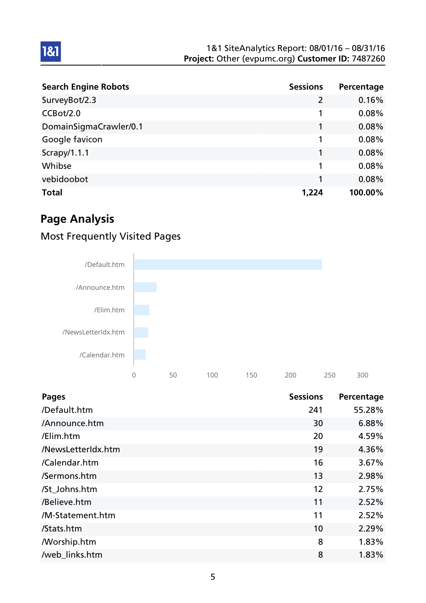| <b>Search Engine Robots</b> | <b>Sessions</b> | Percentage |
|-----------------------------|-----------------|------------|
| SurveyBot/2.3               | $\overline{2}$  | 0.16%      |
| CCBot/2.0                   |                 | 0.08%      |
| DomainSigmaCrawler/0.1      | 1               | 0.08%      |
| Google favicon              | 1               | 0.08%      |
| Scrapy/1.1.1                | 1               | 0.08%      |
| Whibse                      | 1               | 0.08%      |
| vebidoobot                  | 1               | 0.08%      |
| <b>Total</b>                | 1,224           | 100.00%    |

## Page Analysis

1&1

## Most Frequently Visited Pages



| <b>Pages</b>       | <b>Sessions</b> | Percentage |
|--------------------|-----------------|------------|
| /Default.htm       | 241             | 55.28%     |
| /Announce.htm      | 30              | 6.88%      |
| /Elim.htm          | 20              | 4.59%      |
| /NewsLetterIdx.htm | 19              | 4.36%      |
| /Calendar.htm      | 16              | 3.67%      |
| /Sermons.htm       | 13              | 2.98%      |
| /St Johns.htm      | 12              | 2.75%      |
| /Believe.htm       | 11              | 2.52%      |
| /M-Statement.htm   | 11              | 2.52%      |
| /Stats.htm         | 10              | 2.29%      |
| <b>Morship.htm</b> | 8               | 1.83%      |
| /web_links.htm     | 8               | 1.83%      |

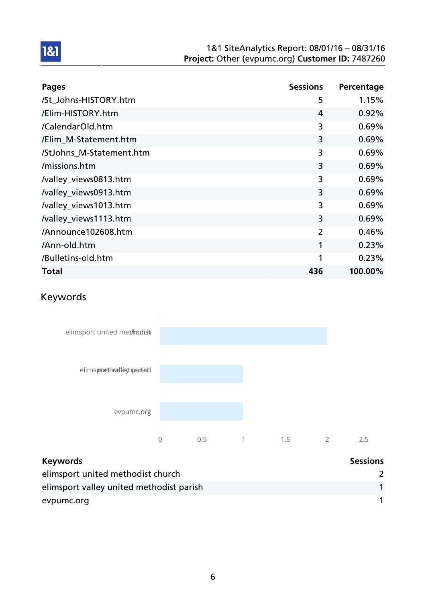| <b>Pages</b>             | <b>Sessions</b> | Percentage |
|--------------------------|-----------------|------------|
| /St Johns-HISTORY.htm    | 5               | 1.15%      |
| /Elim-HISTORY.htm        | 4               | 0.92%      |
| /CalendarOld.htm         | 3               | 0.69%      |
| /Elim_M-Statement.htm    | 3               | 0.69%      |
| /StJohns_M-Statement.htm | 3               | 0.69%      |
| /missions.htm            | 3               | 0.69%      |
| /valley_views0813.htm    | 3               | 0.69%      |
| /valley_views0913.htm    | 3               | 0.69%      |
| /valley_views1013.htm    | 3               | 0.69%      |
| /valley_views1113.htm    | 3               | 0.69%      |
| /Announce102608.htm      | 2               | 0.46%      |
| /Ann-old.htm             | 1               | 0.23%      |
| /Bulletins-old.htm       | 1               | 0.23%      |
| <b>Total</b>             | 436             | 100.00%    |

## Keywords

1&1



| <b>Keywords</b>                          | <b>Sessions</b> |
|------------------------------------------|-----------------|
| elimsport united methodist church        |                 |
| elimsport valley united methodist parish |                 |
| evpumc.org                               |                 |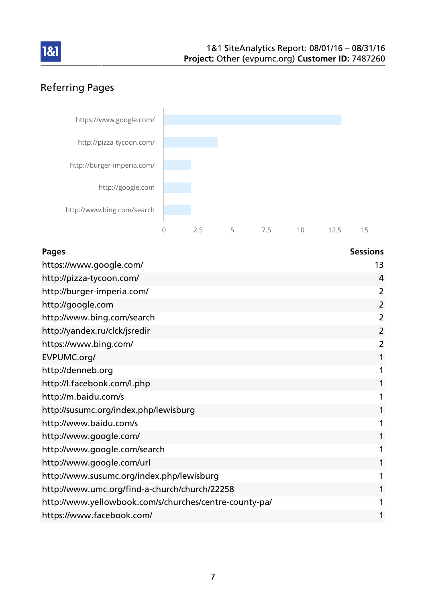

## Referring Pages



| <b>Pages</b>                                           | <b>Sessions</b> |
|--------------------------------------------------------|-----------------|
| https://www.google.com/                                | 13              |
| http://pizza-tycoon.com/                               | 4               |
| http://burger-imperia.com/                             | $\overline{2}$  |
| http://google.com                                      | $\overline{2}$  |
| http://www.bing.com/search                             | 2               |
| http://yandex.ru/clck/jsredir                          | $\overline{2}$  |
| https://www.bing.com/                                  | 2               |
| EVPUMC.org/                                            | 1               |
| http://denneb.org                                      | 1               |
| http://l.facebook.com/l.php                            | 1               |
| http://m.baidu.com/s                                   | 1               |
| http://susumc.org/index.php/lewisburg                  | 1               |
| http://www.baidu.com/s                                 | 1               |
| http://www.google.com/                                 | 1               |
| http://www.google.com/search                           | 1               |
| http://www.google.com/url                              | 1               |
| http://www.susumc.org/index.php/lewisburg              | 1               |
| http://www.umc.org/find-a-church/church/22258          | 1               |
| http://www.yellowbook.com/s/churches/centre-county-pa/ | 1               |
| https://www.facebook.com/                              | 1               |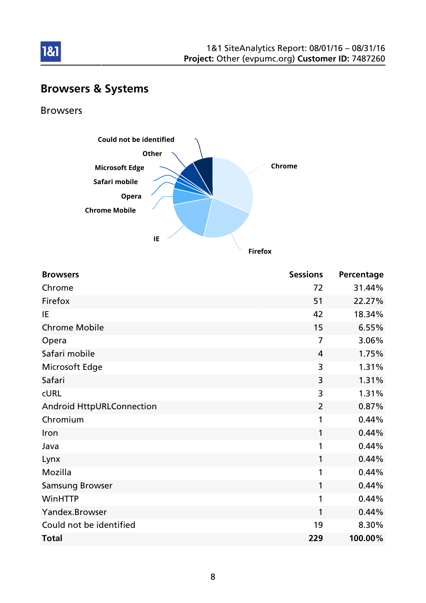

# Browsers & Systems

Browsers

1&1



**Firefox**

| <b>Browsers</b>                  | <b>Sessions</b> | Percentage |
|----------------------------------|-----------------|------------|
| Chrome                           | 72              | 31.44%     |
| Firefox                          | 51              | 22.27%     |
| IE                               | 42              | 18.34%     |
| <b>Chrome Mobile</b>             | 15              | 6.55%      |
| Opera                            | $\overline{7}$  | 3.06%      |
| Safari mobile                    | 4               | 1.75%      |
| Microsoft Edge                   | 3               | 1.31%      |
| Safari                           | 3               | 1.31%      |
| <b>CURL</b>                      | 3               | 1.31%      |
| <b>Android HttpURLConnection</b> | $\overline{2}$  | 0.87%      |
| Chromium                         | 1               | 0.44%      |
| Iron                             | 1               | 0.44%      |
| Java                             | 1               | 0.44%      |
| Lynx                             | 1               | 0.44%      |
| Mozilla                          | 1               | 0.44%      |
| <b>Samsung Browser</b>           | 1               | 0.44%      |
| WinHTTP                          | 1               | 0.44%      |
| Yandex.Browser                   | 1               | 0.44%      |
| Could not be identified          | 19              | 8.30%      |
| <b>Total</b>                     | 229             | 100.00%    |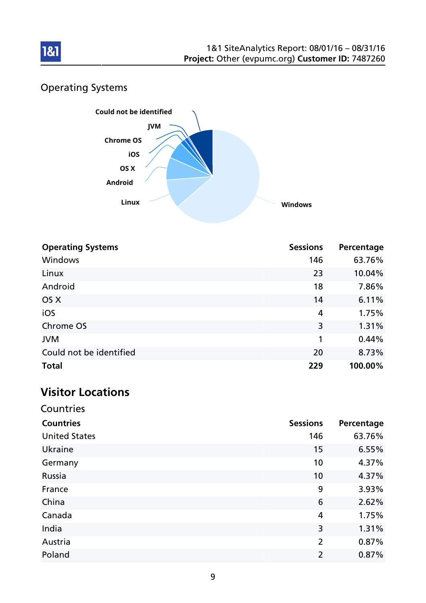

## Operating Systems



| <b>Operating Systems</b> | <b>Sessions</b> | Percentage |
|--------------------------|-----------------|------------|
| Windows                  | 146             | 63.76%     |
| Linux                    | 23              | 10.04%     |
| Android                  | 18              | 7.86%      |
| OS X                     | 14              | 6.11%      |
| iOS                      | 4               | 1.75%      |
| Chrome OS                | 3               | 1.31%      |
| <b>JVM</b>               | 1               | 0.44%      |
| Could not be identified  | 20              | 8.73%      |
| <b>Total</b>             | 229             | 100.00%    |

## Visitor Locations

| Countries            |                 |            |
|----------------------|-----------------|------------|
| <b>Countries</b>     | <b>Sessions</b> | Percentage |
| <b>United States</b> | 146             | 63.76%     |
| Ukraine              | 15              | 6.55%      |
| Germany              | 10              | 4.37%      |
| Russia               | 10              | 4.37%      |
| France               | 9               | 3.93%      |
| China                | 6               | 2.62%      |
| Canada               | 4               | 1.75%      |
| India                | 3               | 1.31%      |
| Austria              | $\overline{2}$  | 0.87%      |
| Poland               | $\overline{2}$  | 0.87%      |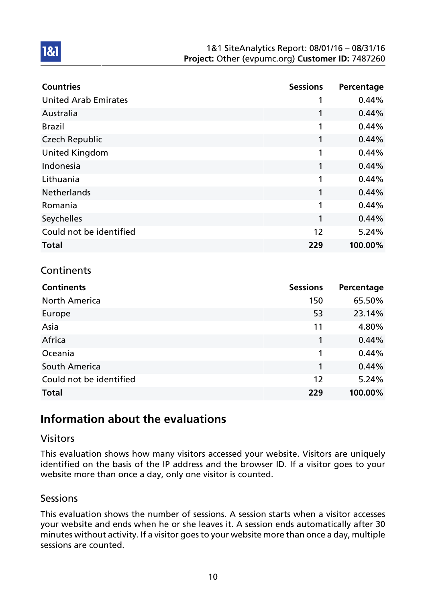| <b>Countries</b>            | <b>Sessions</b> | Percentage |
|-----------------------------|-----------------|------------|
| <b>United Arab Emirates</b> |                 | 0.44%      |
| Australia                   | 1               | 0.44%      |
| <b>Brazil</b>               | 1               | 0.44%      |
| <b>Czech Republic</b>       | 1               | 0.44%      |
| <b>United Kingdom</b>       | 1               | 0.44%      |
| Indonesia                   | 1               | 0.44%      |
| Lithuania                   | 1               | 0.44%      |
| <b>Netherlands</b>          | 1               | 0.44%      |
| Romania                     | 1               | 0.44%      |
| Seychelles                  | 1               | 0.44%      |
| Could not be identified     | 12              | 5.24%      |
| <b>Total</b>                | 229             | 100.00%    |

## **Continents**

1&1

| <b>Continents</b>       | <b>Sessions</b> | Percentage |
|-------------------------|-----------------|------------|
| <b>North America</b>    | 150             | 65.50%     |
| Europe                  | 53              | 23.14%     |
| Asia                    | 11              | 4.80%      |
| Africa                  | 1               | 0.44%      |
| Oceania                 | 1               | 0.44%      |
| South America           | 1               | 0.44%      |
| Could not be identified | 12              | 5.24%      |
| <b>Total</b>            | 229             | 100.00%    |

## Information about the evaluations

### Visitors

This evaluation shows how many visitors accessed your website. Visitors are uniquely identified on the basis of the IP address and the browser ID. If a visitor goes to your website more than once a day, only one visitor is counted.

### Sessions

This evaluation shows the number of sessions. A session starts when a visitor accesses your website and ends when he or she leaves it. A session ends automatically after 30 minutes without activity. If a visitor goes to your website more than once a day, multiple sessions are counted.